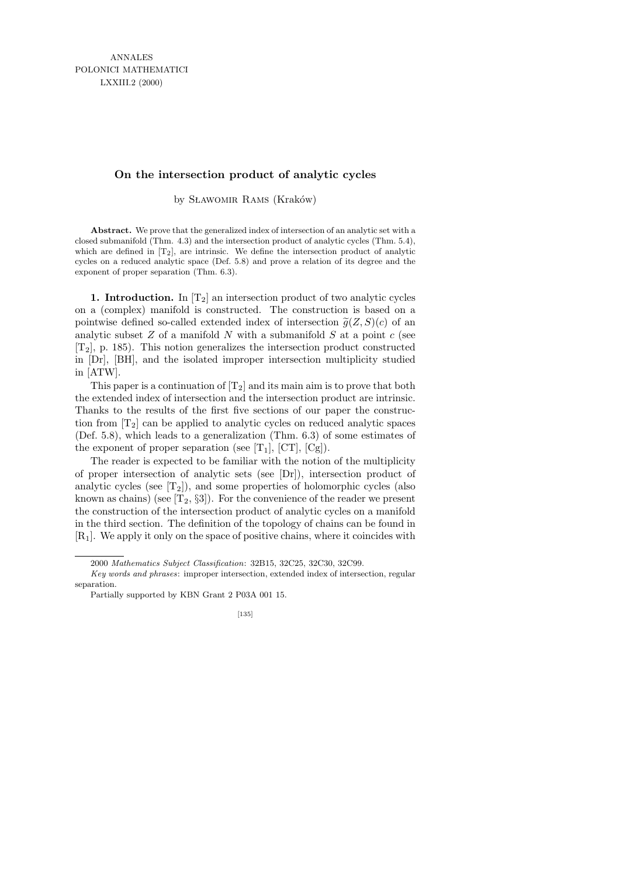## **On the intersection product of analytic cycles**

by SLAWOMIR RAMS (Kraków)

**Abstract.** We prove that the generalized index of intersection of an analytic set with a closed submanifold (Thm. 4.3) and the intersection product of analytic cycles (Thm. 5.4), which are defined in  $[T_2]$ , are intrinsic. We define the intersection product of analytic cycles on a reduced analytic space (Def. 5.8) and prove a relation of its degree and the exponent of proper separation (Thm. 6.3).

1. Introduction. In  $[T_2]$  an intersection product of two analytic cycles on a (complex) manifold is constructed. The construction is based on a pointwise defined so-called extended index of intersection  $\tilde{g}(Z, S)(c)$  of an analytic subset  $Z$  of a manifold  $N$  with a submanifold  $S$  at a point  $c$  (see  $[T_2]$ , p. 185). This notion generalizes the intersection product constructed in [Dr], [BH], and the isolated improper intersection multiplicity studied in [ATW].

This paper is a continuation of  $[T_2]$  and its main aim is to prove that both the extended index of intersection and the intersection product are intrinsic. Thanks to the results of the first five sections of our paper the construction from  $[T_2]$  can be applied to analytic cycles on reduced analytic spaces (Def. 5.8), which leads to a generalization (Thm. 6.3) of some estimates of the exponent of proper separation (see  $[T_1]$ ,  $[CT]$ ,  $[Cg]$ ).

The reader is expected to be familiar with the notion of the multiplicity of proper intersection of analytic sets (see [Dr]), intersection product of analytic cycles (see  $[T_2]$ ), and some properties of holomorphic cycles (also known as chains) (see  $[T_2, \S_3]$ ). For the convenience of the reader we present the construction of the intersection product of analytic cycles on a manifold in the third section. The definition of the topology of chains can be found in  $[R_1]$ . We apply it only on the space of positive chains, where it coincides with

<sup>2000</sup> *Mathematics Subject Classification*: 32B15, 32C25, 32C30, 32C99.

*Key words and phrases*: improper intersection, extended index of intersection, regular separation.

Partially supported by KBN Grant 2 P03A 001 15.

<sup>[135]</sup>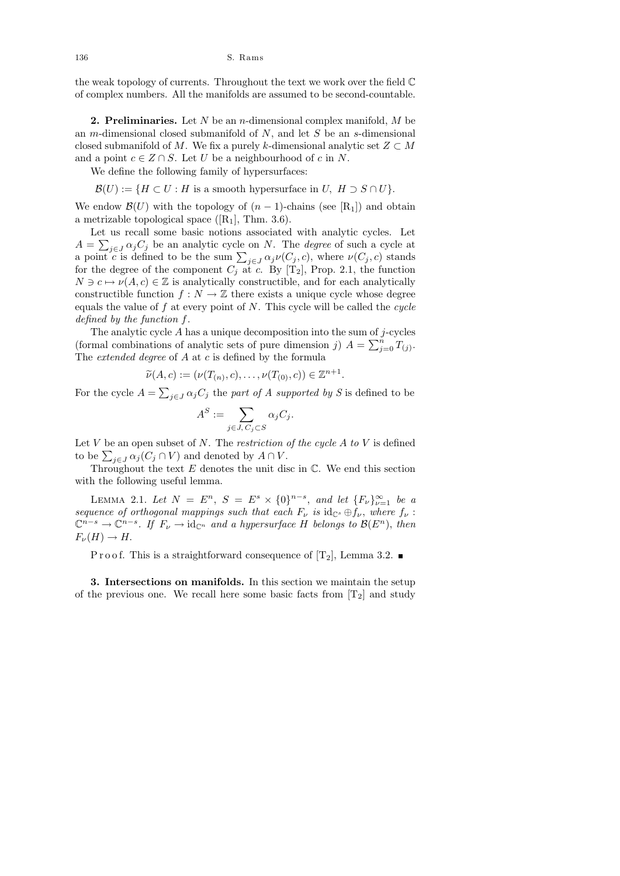the weak topology of currents. Throughout the text we work over the field C of complex numbers. All the manifolds are assumed to be second-countable.

**2. Preliminaries.** Let  $N$  be an *n*-dimensional complex manifold,  $M$  be an *m*-dimensional closed submanifold of  $N$ , and let  $S$  be an *s*-dimensional closed submanifold of M. We fix a purely k-dimensional analytic set  $Z \subset M$ and a point  $c \in Z \cap S$ . Let U be a neighbourhood of c in N.

We define the following family of hypersurfaces:

 $\mathcal{B}(U) := \{ H \subset U : H \text{ is a smooth hypersurface in } U, H \supset S \cap U \}.$ 

We endow  $\mathcal{B}(U)$  with the topology of  $(n-1)$ -chains (see [R<sub>1</sub>]) and obtain a metrizable topological space  $([R_1], \text{ Thm. } 3.6)$ .

Let us recall some basic notions associated with analytic cycles. Let  $A = \sum_{j \in J} \alpha_j C_j$  be an analytic cycle on N. The *degree* of such a cycle at a point c is defined to be the sum  $\sum_{j\in J}\alpha_j\nu(C_j, c)$ , where  $\nu(C_j, c)$  stands for the degree of the component  $C_j$  at c. By [T<sub>2</sub>], Prop. 2.1, the function  $N \ni c \mapsto \nu(A, c) \in \mathbb{Z}$  is analytically constructible, and for each analytically constructible function  $f : N \to \mathbb{Z}$  there exists a unique cycle whose degree equals the value of  $f$  at every point of  $N$ . This cycle will be called the cycle defined by the function f.

The analytic cycle  $A$  has a unique decomposition into the sum of  $j$ -cycles (formal combinations of analytic sets of pure dimension j)  $A = \sum_{j=0}^{n} T_{(j)}$ . The *extended degree* of  $A$  at  $c$  is defined by the formula

$$
\widetilde{\nu}(A, c) := (\nu(T_{(n)}, c), \dots, \nu(T_{(0)}, c)) \in \mathbb{Z}^{n+1}.
$$

For the cycle  $A = \sum_{j \in J} \alpha_j C_j$  the part of A supported by S is defined to be

$$
A^S := \sum_{j \in J, C_j \subset S} \alpha_j C_j.
$$

Let V be an open subset of N. The restriction of the cycle  $A$  to V is defined to be  $\sum_{j\in J}\alpha_j(C_j\cap V)$  and denoted by  $A\cap V$ .

Throughout the text  $E$  denotes the unit disc in  $\mathbb{C}$ . We end this section with the following useful lemma.

LEMMA 2.1. Let  $N = E^n$ ,  $S = E^s \times \{0\}^{n-s}$ , and let  $\{F_{\nu}\}_{\nu=1}^{\infty}$  be a sequence of orthogonal mappings such that each  $F_{\nu}$  is  $id_{\mathbb{C}^s} \oplus f_{\nu}$ , where  $f_{\nu}$ :  $\mathbb{C}^{n-s} \to \mathbb{C}^{n-s}$ . If  $F_{\nu} \to id_{\mathbb{C}^n}$  and a hypersurface H belongs to  $\mathcal{B}(E^n)$ , then  $F_{\nu}(H) \to H$ .

P r o o f. This is a straightforward consequence of  $[T_2]$ , Lemma 3.2.

3. Intersections on manifolds. In this section we maintain the setup of the previous one. We recall here some basic facts from  $[T_2]$  and study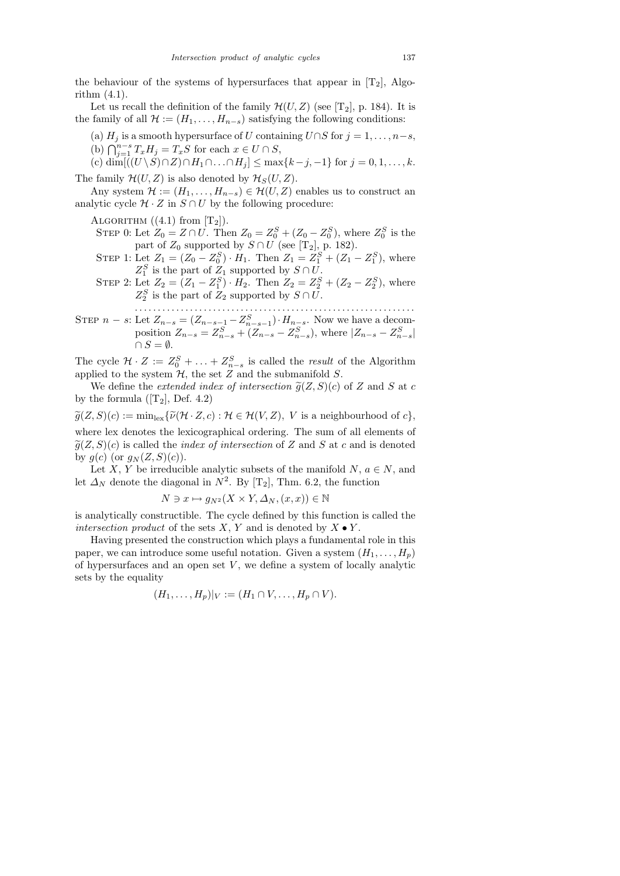the behaviour of the systems of hypersurfaces that appear in  $[T_2]$ , Algorithm (4.1).

Let us recall the definition of the family  $\mathcal{H}(U, Z)$  (see [T<sub>2</sub>], p. 184). It is the family of all  $\mathcal{H} := (H_1, \ldots, H_{n-s})$  satisfying the following conditions:

(a)  $H_j$  is a smooth hypersurface of U containing  $U \cap S$  for  $j = 1, \ldots, n-s$ ,

(b)  $\bigcap_{j=1}^{n-s} T_x H_j = T_x S$  for each  $x \in U \cap S$ ,

(c) dim[ $((U \setminus S) \cap Z) \cap H_1 \cap \ldots \cap H_j] \le \max\{k-j, -1\}$  for  $j = 0, 1, \ldots, k$ . The family  $\mathcal{H}(U, Z)$  is also denoted by  $\mathcal{H}_S(U, Z)$ .

Any system  $\mathcal{H} := (H_1, \ldots, H_{n-s}) \in \mathcal{H}(U, Z)$  enables us to construct an analytic cycle  $\mathcal{H} \cdot Z$  in  $S \cap U$  by the following procedure:

ALGORITHM  $((4.1)$  from  $[T_2]$ ).

- STEP 0: Let  $Z_0 = Z \cap U$ . Then  $Z_0 = Z_0^S + (Z_0 Z_0^S)$ , where  $Z_0^S$  is the part of  $Z_0$  supported by  $S \cap U$  (see [T<sub>2</sub>], p. 182).
- STEP 1: Let  $Z_1 = (Z_0 Z_0^S) \cdot H_1$ . Then  $Z_1 = Z_1^S + (Z_1 Z_1^S)$ , where  $Z_1^S$  is the part of  $Z_1$  supported by  $S \cap U$ .
- STEP 2: Let  $Z_2 = (Z_1 Z_1^S) \cdot H_2$ . Then  $Z_2 = Z_2^S + (Z_2 Z_2^S)$ , where  $Z_2^S$  is the part of  $Z_2$  supported by  $S \cap U$ .
- . . . . . . . . . . . . . . . . . . . . . . . . . . . . . . . . . . . . . . . . . . . . . . . . . . . . . . . . . . . . . STEP  $n - s$ : Let  $Z_{n-s} = (Z_{n-s-1} - Z_{n-s-1}^S) \cdot H_{n-s}$ . Now we have a decomposition  $Z_{n-s} = Z_{n-s}^S + (Z_{n-s} - Z_{n-s}^S)$ , where  $|Z_{n-s} - Z_{n-s}^S|$  $\cap S = \emptyset$ .

The cycle  $\mathcal{H} \cdot Z := Z_0^S + \ldots + Z_{n-s}^S$  is called the *result* of the Algorithm applied to the system  $H$ , the set  $Z$  and the submanifold  $S$ .

We define the *extended index of intersection*  $\tilde{g}(Z, S)(c)$  of Z and S at c by the formula  $([T_2], \text{Def. } 4.2)$ 

 $\widetilde{g}(Z, S)(c) := \min_{\text{lex}} \{\widetilde{\nu}(\mathcal{H} \cdot Z, c) : \mathcal{H} \in \mathcal{H}(V, Z), \ V \text{ is a neighbourhood of } c\},\$ 

where lex denotes the lexicographical ordering. The sum of all elements of  $\tilde{g}(Z, S)(c)$  is called the *index of intersection* of Z and S at c and is denoted by  $g(c)$  (or  $g_N(Z, S)(c)$ ).

Let X, Y be irreducible analytic subsets of the manifold  $N, a \in N$ , and let  $\Delta_N$  denote the diagonal in  $N^2$ . By [T<sub>2</sub>], Thm. 6.2, the function

$$
N \ni x \mapsto g_{N^2}(X \times Y, \Delta_N, (x, x)) \in \mathbb{N}
$$

is analytically constructible. The cycle defined by this function is called the intersection product of the sets  $X, Y$  and is denoted by  $X \bullet Y$ .

Having presented the construction which plays a fundamental role in this paper, we can introduce some useful notation. Given a system  $(H_1, \ldots, H_p)$ of hypersurfaces and an open set  $V$ , we define a system of locally analytic sets by the equality

$$
(H_1,\ldots,H_p)|_V:=(H_1\cap V,\ldots,H_p\cap V).
$$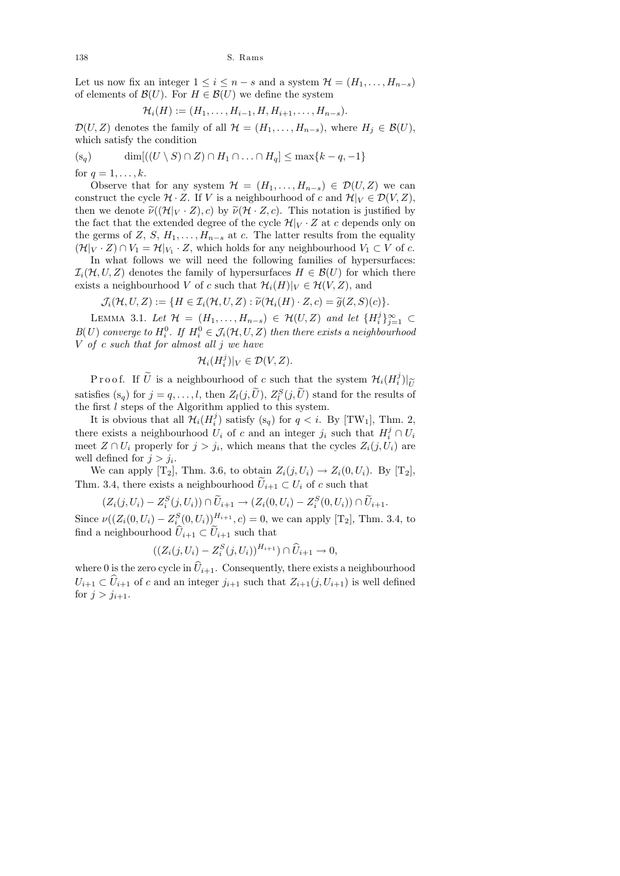Let us now fix an integer  $1 \leq i \leq n-s$  and a system  $\mathcal{H} = (H_1, \ldots, H_{n-s})$ of elements of  $\mathcal{B}(U)$ . For  $H \in \mathcal{B}(U)$  we define the system

$$
\mathcal{H}_i(H) := (H_1, \ldots, H_{i-1}, H, H_{i+1}, \ldots, H_{n-s}).
$$

 $\mathcal{D}(U, Z)$  denotes the family of all  $\mathcal{H} = (H_1, \ldots, H_{n-s}),$  where  $H_i \in \mathcal{B}(U),$ which satisfy the condition

$$
(s_q) \qquad \dim[((U \setminus S) \cap Z) \cap H_1 \cap \ldots \cap H_q] \le \max\{k-q, -1\}
$$

for  $q = 1, \ldots, k$ .

Observe that for any system  $\mathcal{H} = (H_1, \ldots, H_{n-s}) \in \mathcal{D}(U, Z)$  we can construct the cycle  $\mathcal{H} \cdot Z$ . If V is a neighbourhood of c and  $\mathcal{H}|_V \in \mathcal{D}(V, Z)$ , then we denote  $\tilde{\nu}((\mathcal{H}|_V \cdot Z), c)$  by  $\tilde{\nu}(\mathcal{H} \cdot Z, c)$ . This notation is justified by the fact that the extended degree of the cycle  $\mathcal{H}|_V \cdot Z$  at c depends only on the germs of Z, S,  $H_1, \ldots, H_{n-s}$  at c. The latter results from the equality  $(\mathcal{H}|_V \cdot Z) \cap V_1 = \mathcal{H}|_{V_1} \cdot Z$ , which holds for any neighbourhood  $V_1 \subset V$  of c.

In what follows we will need the following families of hypersurfaces:  $\mathcal{I}_i(\mathcal{H}, U, Z)$  denotes the family of hypersurfaces  $H \in \mathcal{B}(U)$  for which there exists a neighbourhood V of c such that  $\mathcal{H}_i(H)|_V \in \mathcal{H}(V, Z)$ , and

$$
\mathcal{J}_i(\mathcal{H}, U, Z) := \{ H \in \mathcal{I}_i(\mathcal{H}, U, Z) : \widetilde{\nu}(\mathcal{H}_i(H) \cdot Z, c) = \widetilde{g}(Z, S)(c) \}.
$$

LEMMA 3.1. Let  $\mathcal{H} = (H_1, \ldots, H_{n-s}) \in \mathcal{H}(U, Z)$  and let  $\{H_i^j\}$  $\{j\}_{j=1}^{\infty}$  ⊂  $B(U)$  converge to  $H_i^0$ . If  $H_i^0 \in \mathcal{J}_i(\mathcal{H}, U, Z)$  then there exists a neighbourhood  $V$  of c such that for almost all j we have

$$
\mathcal{H}_i(H_i^j)|_V \in \mathcal{D}(V, Z).
$$

Proof. If  $\tilde{U}$  is a neighbourhood of c such that the system  $\mathcal{H}_i(H_i^j)$  $\binom{j}{i}$  $U$ วf satisfies  $(s_q)$  for  $j = q, \ldots, l$ , then  $Z_l(j, \tilde{U}), Z_l^S(j, \tilde{U})$  stand for the results of the first  $l$  steps of the Algorithm applied to this system.

It is obvious that all  $\mathcal{H}_i(H_i^j)$  $j_i^j$ ) satisfy (s<sub>q</sub>) for  $q < i$ . By [TW<sub>1</sub>], Thm. 2, there exists a neighbourhood  $U_i$  of c and an integer  $j_i$  such that  $H_i^j \cap U_i$ meet  $Z \cap U_i$  properly for  $j > j_i$ , which means that the cycles  $Z_i(j, U_i)$  are well defined for  $j > j_i$ .

We can apply  $[T_2]$ , Thm. 3.6, to obtain  $Z_i(j, U_i) \rightarrow Z_i(0, U_i)$ . By  $[T_2]$ , Thm. 3.4, there exists a neighbourhood  $U_{i+1} \subset U_i$  of c such that

$$
(Z_i(j, U_i) - Z_i^S(j, U_i)) \cap \widetilde{U}_{i+1} \to (Z_i(0, U_i) - Z_i^S(0, U_i)) \cap \widetilde{U}_{i+1}.
$$

Since  $\nu((Z_i(0, U_i) - Z_i^S(0, U_i))^{H_{i+1}}, c) = 0$ , we can apply [T<sub>2</sub>], Thm. 3.4, to find a neighbourhood  $\hat{U}_{i+1} \subset \hat{U}_{i+1}$  such that

$$
((Z_i(j, U_i) - Z_i^S(j, U_i))^{H_{i+1}}) \cap \widehat{U}_{i+1} \to 0,
$$

where 0 is the zero cycle in  $\hat{U}_{i+1}$ . Consequently, there exists a neighbourhood  $U_{i+1} \subset \widehat{U}_{i+1}$  of c and an integer  $j_{i+1}$  such that  $Z_{i+1}(j, U_{i+1})$  is well defined for  $j > j_{i+1}$ .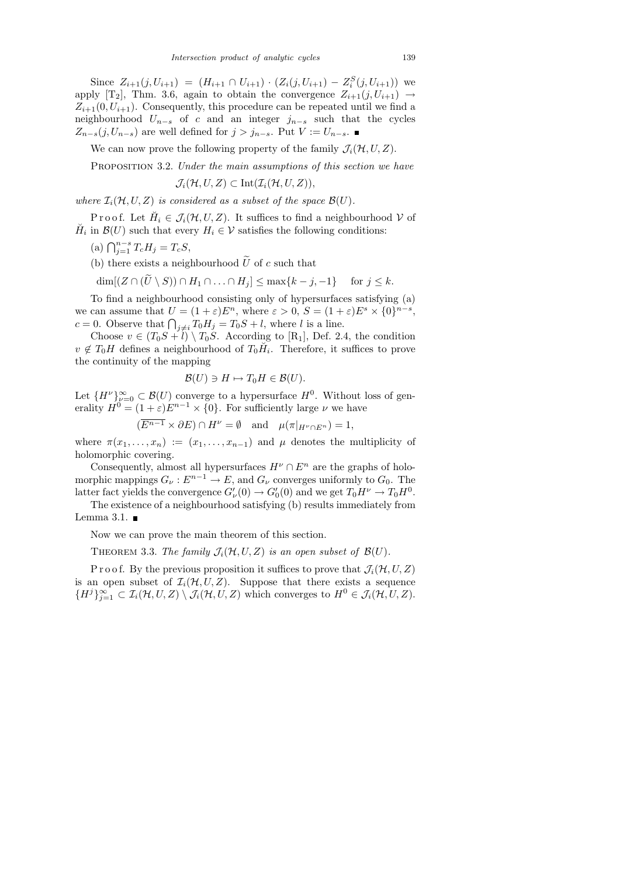Since  $Z_{i+1}(j, U_{i+1}) = (H_{i+1} \cap U_{i+1}) \cdot (Z_i(j, U_{i+1}) - Z_i^S(j, U_{i+1}))$  we apply [T<sub>2</sub>], Thm. 3.6, again to obtain the convergence  $Z_{i+1}(j, U_{i+1}) \rightarrow$  $Z_{i+1}(0, U_{i+1})$ . Consequently, this procedure can be repeated until we find a neighbourhood  $U_{n-s}$  of c and an integer  $j_{n-s}$  such that the cycles  $Z_{n-s}(j, U_{n-s})$  are well defined for  $j > j_{n-s}$ . Put  $V := U_{n-s}$ .

We can now prove the following property of the family  $\mathcal{J}_i(\mathcal{H}, U, Z)$ .

PROPOSITION 3.2. Under the main assumptions of this section we have

$$
\mathcal{J}_i(\mathcal{H}, U, Z) \subset \mathrm{Int}(\mathcal{I}_i(\mathcal{H}, U, Z)),
$$

where  $\mathcal{I}_i(\mathcal{H}, U, Z)$  is considered as a subset of the space  $\mathcal{B}(U)$ .

Proof. Let  $\breve{H}_i \in \mathcal{J}_i(\mathcal{H},U,Z)$ . It suffices to find a neighbourhood  $\mathcal V$  of  $\check{H}_i$  in  $\mathcal{B}(U)$  such that every  $H_i \in \mathcal{V}$  satisfies the following conditions:

- (a)  $\bigcap_{j=1}^{n-s} T_c H_j = T_c S,$
- (b) there exists a neighbourhood  $\widetilde{U}$  of c such that

$$
\dim[(Z \cap (U \setminus S)) \cap H_1 \cap \ldots \cap H_j] \le \max\{k - j, -1\} \quad \text{for } j \le k.
$$

To find a neighbourhood consisting only of hypersurfaces satisfying (a) we can assume that  $U = (1 + \varepsilon)E^n$ , where  $\varepsilon > 0$ ,  $S = (1 + \varepsilon)E^s \times \{0\}^{n-s}$ ,  $c = 0$ . Observe that  $\bigcap_{j \neq i} T_0 H_j = T_0 S + l$ , where l is a line.

Choose  $v \in (T_0S + i) \setminus T_0S$ . According to [R<sub>1</sub>], Def. 2.4, the condition  $v \notin T_0H$  defines a neighbourhood of  $T_0H_i$ . Therefore, it suffices to prove the continuity of the mapping

$$
\mathcal{B}(U) \ni H \mapsto T_0 H \in \mathcal{B}(U).
$$

Let  ${H^{\nu}}_{\nu=0}^{\infty} \subset \mathcal{B}(U)$  converge to a hypersurface  $H^{0}$ . Without loss of generality  $H^0 = (1 + \varepsilon)E^{n-1} \times \{0\}$ . For sufficiently large  $\nu$  we have

$$
(\overline{E^{n-1}} \times \partial E) \cap H^{\nu} = \emptyset \text{ and } \mu(\pi|_{H^{\nu} \cap E^{n}}) = 1,
$$

where  $\pi(x_1, \ldots, x_n) := (x_1, \ldots, x_{n-1})$  and  $\mu$  denotes the multiplicity of holomorphic covering.

Consequently, almost all hypersurfaces  $H^{\nu} \cap E^{n}$  are the graphs of holomorphic mappings  $G_{\nu}: E^{n-1} \to E$ , and  $G_{\nu}$  converges uniformly to  $G_0$ . The latter fact yields the convergence  $G'_{\nu}(0) \to G'_{0}(0)$  and we get  $T_{0}H^{\nu} \to T_{0}H^{0}$ .

The existence of a neighbourhood satisfying (b) results immediately from Lemma 3.1.  $\blacksquare$ 

Now we can prove the main theorem of this section.

THEOREM 3.3. The family  $\mathcal{J}_i(\mathcal{H}, U, Z)$  is an open subset of  $\mathcal{B}(U)$ .

P r o o f. By the previous proposition it suffices to prove that  $\mathcal{J}_i(\mathcal{H}, U, Z)$ is an open subset of  $\mathcal{I}_i(\mathcal{H}, U, Z)$ . Suppose that there exists a sequence  ${H}^{j}$  $_{j=1}^{\infty}$   $\subset$   $\mathcal{I}_{i}(\mathcal{H}, U, Z) \setminus \mathcal{J}_{i}(\mathcal{H}, U, Z)$  which converges to  $H^{0} \in \mathcal{J}_{i}(\mathcal{H}, U, Z)$ .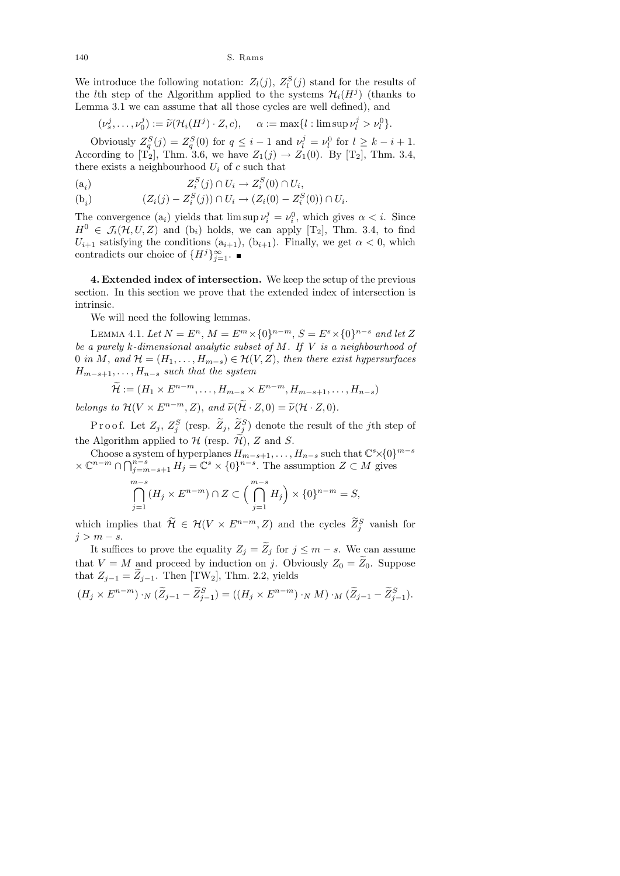We introduce the following notation:  $Z_l(j)$ ,  $Z_l^S(j)$  stand for the results of the *l*<sup>th</sup> step of the Algorithm applied to the systems  $\mathcal{H}_i(H^j)$  (thanks to Lemma 3.1 we can assume that all those cycles are well defined), and

$$
(\nu_s^j,\ldots,\nu_0^j):=\widetilde{\nu}(\mathcal{H}_i(H^j)\cdot Z,c),\quad \alpha:=\max\{l:\limsup \nu_l^j>\nu_l^0\}.
$$

Obviously  $Z_q^S(j) = Z_q^S(0)$  for  $q \leq i - 1$  and  $\nu_l^j = \nu_l^0$  for  $l \geq k - i + 1$ . According to [T<sub>2</sub>], Thm. 3.6, we have  $Z_1(j) \rightarrow Z_1(0)$ . By [T<sub>2</sub>], Thm. 3.4, there exists a neighbourhood  $U_i$  of c such that

$$
(a_i) \t Z_i^S(j) \cap U_i \to Z_i^S(0) \cap U_i,
$$

$$
(b_i) \qquad (Z_i(j) - Z_i^S(j)) \cap U_i \to (Z_i(0) - Z_i^S(0)) \cap U_i.
$$

The convergence  $(a_i)$  yields that  $\limsup \nu_i^j = \nu_i^0$ , which gives  $\alpha < i$ . Since  $H^0 \in \mathcal{J}_i(\mathcal{H}, U, Z)$  and  $(b_i)$  holds, we can apply  $[T_2]$ , Thm. 3.4, to find  $U_{i+1}$  satisfying the conditions  $(a_{i+1}), (b_{i+1})$ . Finally, we get  $\alpha < 0$ , which contradicts our choice of  $\{H^j\}_{j=1}^{\infty}$ .

4. Extended index of intersection. We keep the setup of the previous section. In this section we prove that the extended index of intersection is intrinsic.

We will need the following lemmas.

LEMMA 4.1. Let  $N = E^n$ ,  $M = E^m \times \{0\}^{n-m}$ ,  $S = E^s \times \{0\}^{n-s}$  and let Z be a purely k-dimensional analytic subset of  $M$ . If  $V$  is a neighbourhood of 0 in M, and  $\mathcal{H} = (H_1, \ldots, H_{m-s}) \in \mathcal{H}(V, Z)$ , then there exist hypersurfaces  $H_{m-s+1}, \ldots, H_{n-s}$  such that the system

$$
\widetilde{\mathcal{H}} := (H_1 \times E^{n-m}, \dots, H_{m-s} \times E^{n-m}, H_{m-s+1}, \dots, H_{n-s})
$$

belongs to  $\mathcal{H}(V \times E^{n-m}, Z)$ , and  $\widetilde{\nu}(\widetilde{\mathcal{H}} \cdot Z, 0) = \widetilde{\nu}(\mathcal{H} \cdot Z, 0)$ .

Proof. Let  $Z_j$ ,  $Z_j^S$  (resp.  $\widetilde{Z}_j$ ,  $\widetilde{Z}_j^S$ ) denote the result of the *j*th step of the Algorithm applied to  $\mathcal H$  (resp.  $\widetilde{\mathcal H}$ ), Z and S.

Choose a system of hyperplanes  $H_{m-s+1}, \ldots, H_{n-s}$  such that  $\mathbb{C}^s \times \{0\}^{m-s}$  $\times \mathbb{C}^{n-m} \cap \bigcap_{j=m-s+1}^{n-s} H_j = \mathbb{C}^s \times \{0\}^{n-s}$ . The assumption  $Z \subset M$  gives

$$
\bigcap_{j=1}^{m-s} (H_j \times E^{n-m}) \cap Z \subset \Big(\bigcap_{j=1}^{m-s} H_j \Big) \times \{0\}^{n-m} = S,
$$

which implies that  $\widetilde{\mathcal{H}} \in \mathcal{H}(V \times E^{n-m}, Z)$  and the cycles  $\widetilde{Z}_{j}^{S}$  vanish for  $j > m - s$ .

It suffices to prove the equality  $Z_j = \widetilde{Z}_j$  for  $j \leq m - s$ . We can assume that  $V = M$  and proceed by induction on j. Obviously  $Z_0 = Z_0$ . Suppose that  $Z_{j-1} = \tilde{Z}_{j-1}$ . Then [TW<sub>2</sub>], Thm. 2.2, yields

$$
(H_j \times E^{n-m}) \cdot_N (\widetilde{Z}_{j-1} - \widetilde{Z}_{j-1}^S) = ((H_j \times E^{n-m}) \cdot_N M) \cdot_M (\widetilde{Z}_{j-1} - \widetilde{Z}_{j-1}^S).
$$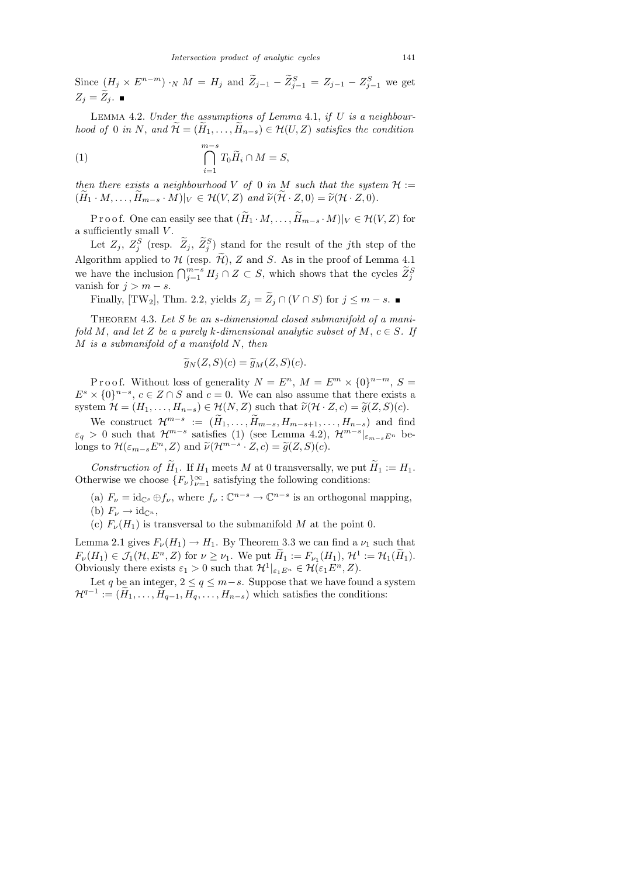LEMMA 4.2. Under the assumptions of Lemma 4.1, if  $U$  is a neighbourhood of 0 in N, and  $\widetilde{\mathcal{H}} = (\widetilde{H}_1, \ldots, \widetilde{H}_{n-s}) \in \mathcal{H}(U, Z)$  satisfies the condition

(1) 
$$
\bigcap_{i=1}^{m-s} T_0 \widetilde{H}_i \cap M = S,
$$

then there exists a neighbourhood V of 0 in M such that the system  $\mathcal{H}$  :=  $(H_1 \cdot M, \ldots, H_{m-s} \cdot M)|_V \in \mathcal{H}(V, Z)$  and  $\widetilde{\nu}(\mathcal{H} \cdot Z, 0) = \widetilde{\nu}(\mathcal{H} \cdot Z, 0).$ 

P r o o f. One can easily see that  $(\widetilde{H}_1 \cdot M, \ldots, \widetilde{H}_{m-s} \cdot M)|_V \in \mathcal{H}(V, Z)$  for a sufficiently small  $V$ .

Let  $Z_j$ ,  $Z_j^S$  (resp.  $Z_j$ ,  $Z_j^S$ ) stand for the result of the jth step of the Algorithm applied to  $H$  (resp.  $\widetilde{\mathcal{H}}$ ), Z and S. As in the proof of Lemma 4.1 we have the inclusion  $\bigcap_{j=1}^{m-s} H_j \cap Z \subset S$ , which shows that the cycles  $\widetilde{Z}_{j}^{S}$ vanish for  $j > m - s$ .

Finally, [TW<sub>2</sub>], Thm. 2.2, yields  $Z_j = \widetilde{Z}_j \cap (V \cap S)$  for  $j \leq m - s$ . ■

THEOREM 4.3. Let  $S$  be an s-dimensional closed submanifold of a manifold M, and let Z be a purely k-dimensional analytic subset of M,  $c \in S$ . If  $M$  is a submanifold of a manifold  $N$ , then

$$
\widetilde{g}_N(Z,S)(c) = \widetilde{g}_M(Z,S)(c).
$$

Proof. Without loss of generality  $N = E^n$ ,  $M = E^m \times \{0\}^{n-m}$ ,  $S =$  $E^s \times \{0\}^{n-s}, c \in \mathbb{Z} \cap \mathbb{S}$  and  $c = 0$ . We can also assume that there exists a system  $\mathcal{H} = (H_1, \ldots, H_{n-s}) \in \mathcal{H}(N, Z)$  such that  $\tilde{\nu}(\mathcal{H} \cdot Z, c) = \tilde{g}(Z, S)(c)$ .

We construct  $\mathcal{H}^{m-s} := (\tilde{H}_1, \ldots, \tilde{H}_{m-s}, H_{m-s+1}, \ldots, H_{n-s})$  and find  $\varepsilon_q > 0$  such that  $\mathcal{H}^{m-s}$  satisfies (1) (see Lemma 4.2),  $\mathcal{H}^{m-s}|_{\varepsilon_{m-s}E^n}$  belongs to  $\mathcal{H}(\varepsilon_{m-s}E^n, Z)$  and  $\widetilde{\nu}(\mathcal{H}^{m-s}\cdot Z, c) = \widetilde{g}(Z, S)(c)$ .

Construction of  $\widetilde{H}_1$ . If  $H_1$  meets M at 0 transversally, we put  $\widetilde{H}_1 := H_1$ . Otherwise we choose  $\{F_{\nu}\}_{\nu=1}^{\infty}$  satisfying the following conditions:

- (a)  $F_{\nu} = id_{\mathbb{C}^s} \oplus f_{\nu}$ , where  $f_{\nu} : \mathbb{C}^{n-s} \to \mathbb{C}^{n-s}$  is an orthogonal mapping, (b)  $F_{\nu} \to \mathrm{id}_{\mathbb{C}^n}$ ,
- (c)  $F_{\nu}(H_1)$  is transversal to the submanifold M at the point 0.

Lemma 2.1 gives  $F_{\nu}(H_1) \rightarrow H_1$ . By Theorem 3.3 we can find a  $\nu_1$  such that  $F_{\nu}(H_1) \in \mathcal{J}_1(\mathcal{H}, E^n, Z)$  for  $\nu \geq \nu_1$ . We put  $\widetilde{H}_1 := F_{\nu_1}(H_1), \mathcal{H}^1 := \mathcal{H}_1(\widetilde{H}_1)$ . Obviously there exists  $\varepsilon_1 > 0$  such that  $\mathcal{H}^1|_{\varepsilon_1 E^n} \in \mathcal{H}(\varepsilon_1 E^n, Z)$ .

Let q be an integer,  $2 \le q \le m-s$ . Suppose that we have found a system  $\mathcal{H}^{q-1} := (\widetilde{H}_1, \ldots, \widetilde{H}_{q-1}, H_q, \ldots, H_{n-s})$  which satisfies the conditions: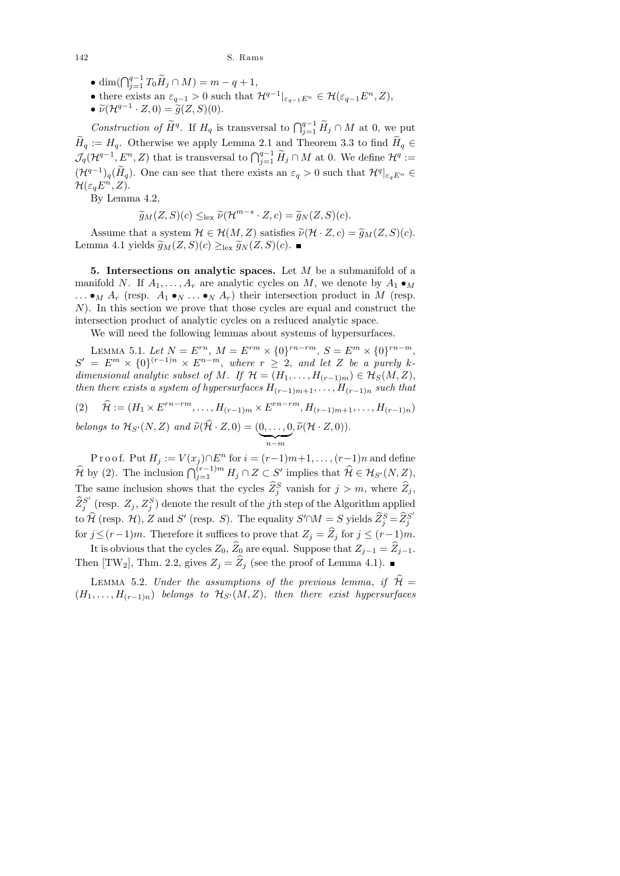- dim( $\bigcap_{j=1}^{q-1} T_0 \widetilde{H}_j \cap M$ ) =  $m q + 1$ ,
- there exists an  $\varepsilon_{q-1} > 0$  such that  $\mathcal{H}^{q-1}|_{\varepsilon_{q-1}E^n} \in \mathcal{H}(\varepsilon_{q-1}E^n, Z),$
- $\widetilde{\nu}(\mathcal{H}^{q-1}\cdot Z,0)=\widetilde{g}(Z,S)(0).$

Construction of  $\widetilde{H}^q$ . If  $H_q$  is transversal to  $\bigcap_{j=1}^{q-1} \widetilde{H}_j \cap M$  at 0, we put  $\widetilde{H}_q := H_q$ . Otherwise we apply Lemma 2.1 and Theorem 3.3 to find  $\widetilde{H}_q \in$  $\mathcal{J}_q(\mathcal{H}^{q-1}, E^n, Z)$  that is transversal to  $\bigcap_{j=1}^{q-1} \widetilde{H}_j \cap M$  at 0. We define  $\mathcal{H}^q :=$  $(\mathcal{H}^{q-1})_q(\tilde{H}_q)$ . One can see that there exists an  $\varepsilon_q > 0$  such that  $\mathcal{H}^q|_{\varepsilon_q E^n} \in$  $\mathcal{H}(\varepsilon_q E^n, Z).$ 

By Lemma 4.2,

$$
\widetilde{g}_M(Z,S)(c) \leq_{\text{lex}} \widetilde{\nu}(\mathcal{H}^{m-s} \cdot Z,c) = \widetilde{g}_N(Z,S)(c).
$$

Assume that a system  $\mathcal{H} \in \mathcal{H}(M, Z)$  satisfies  $\tilde{\nu}(\mathcal{H} \cdot Z, c) = \tilde{g}_M(Z, S)(c)$ . Lemma 4.1 yields  $\widetilde{g}_M(Z, S)(c) \geq_{\text{lex}} \widetilde{g}_N(Z, S)(c)$ . ■

5. Intersections on analytic spaces. Let  $M$  be a submanifold of a manifold N. If  $A_1, \ldots, A_r$  are analytic cycles on M, we denote by  $A_1 \bullet_M$  $\ldots \bullet_M A_r$  (resp.  $A_1 \bullet_N \ldots \bullet_N A_r$ ) their intersection product in M (resp. N). In this section we prove that those cycles are equal and construct the intersection product of analytic cycles on a reduced analytic space.

We will need the following lemmas about systems of hypersurfaces.

LEMMA 5.1. Let  $N = E^{rn}$ ,  $M = E^{rm} \times \{0\}^{rn-rm}$ ,  $S = E^m \times \{0\}^{rn-m}$ ,  $S' = E^m \times \{0\}^{(r-1)n} \times E^{n-m}$ , where  $r \geq 2$ , and let Z be a purely kdimensional analytic subset of M. If  $\mathcal{H} = (H_1, \ldots, H_{(r-1)m}) \in \mathcal{H}_S(M, Z)$ , then there exists a system of hypersurfaces  $H_{(r-1)m+1}, \ldots, H_{(r-1)n}$  such that

(2) 
$$
\widehat{\mathcal{H}} := (H_1 \times E^{rn-rm}, \dots, H_{(r-1)m} \times E^{rn-rm}, H_{(r-1)m+1}, \dots, H_{(r-1)n})
$$
  
belongs to  $\mathcal{H}_{\mathcal{L}'}(N, Z)$  and  $\widetilde{\nu}(\widehat{\mathcal{H}}, Z, 0) = (0, 0, \widetilde{\nu}(\mathcal{H}, Z, 0))$ 

belongs to  $\mathcal{H}_{S'}(N, Z)$  and  $\widetilde{\nu}(\mathcal{H} \cdot Z, 0) = (\underbrace{0, \ldots, 0}_{n-m}, \widetilde{\nu}(\mathcal{H} \cdot Z, 0)).$ 

P r o o f. Put  $H_j := V(x_j) \cap E^n$  for  $i = (r-1)m+1, \ldots, (r-1)n$  and define  $\widehat{\mathcal{H}}$  by (2). The inclusion  $\bigcap_{j=1}^{(r-1)m} H_j \cap Z \subset S'$  implies that  $\widehat{\mathcal{H}} \in \mathcal{H}_{S'}(N, Z)$ , The same inclusion shows that the cycles  $\widehat{Z}_{j}^{S}$  vanish for  $j > m$ , where  $\widehat{Z}_{j}$ ,  $\widehat{Z}_j^{S'}$  $j^{S'}$  (resp.  $Z_j$ ,  $Z_j^S$ ) denote the result of the *j*th step of the Algorithm applied to  $\widehat{\mathcal{H}}$  (resp.  $\mathcal{H}$ ), Z and S' (resp. S). The equality  $S' \cap M = S$  yields  $\widehat{Z}_{j}^{S} = \widehat{Z}_{j}^{S'}$ j for  $j \le (r-1)m$ . Therefore it suffices to prove that  $Z_j = \widehat{Z}_j$  for  $j \le (r-1)m$ .

It is obvious that the cycles  $Z_0$ ,  $\hat{Z}_0$  are equal. Suppose that  $Z_{j-1} = \hat{Z}_{j-1}$ . Then [TW<sub>2</sub>], Thm. 2.2, gives  $Z_j = Z_j$  (see the proof of Lemma 4.1).

LEMMA 5.2. Under the assumptions of the previous lemma, if  $\mathcal{H} =$  $(H_1, \ldots, H_{(r-1)n})$  belongs to  $\mathcal{H}_{S'}(M, Z)$ , then there exist hypersurfaces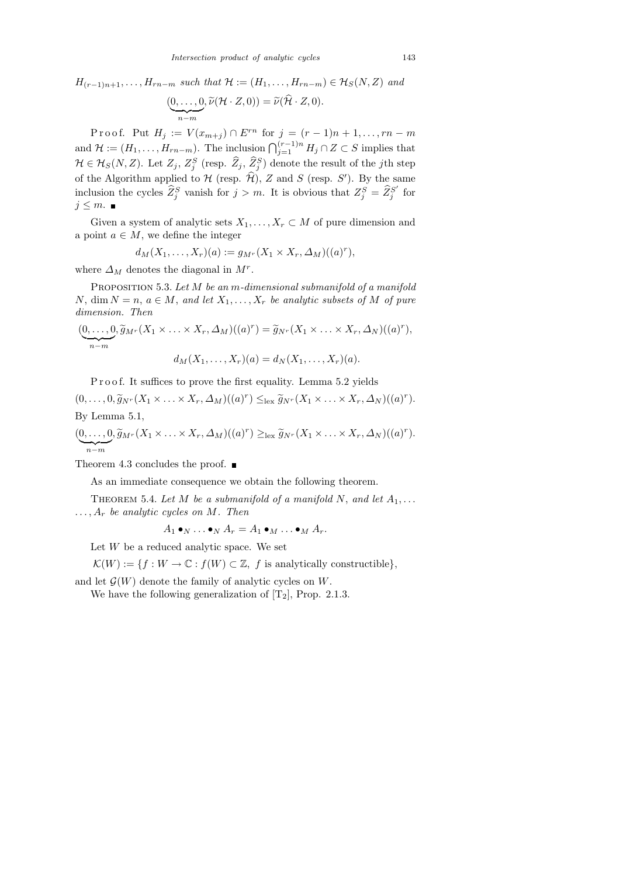$H_{(r-1)n+1}, \ldots, H_{rn-m}$  such that  $\mathcal{H} := (H_1, \ldots, H_{rn-m}) \in \mathcal{H}_S(N, Z)$  and

$$
(\underbrace{0,\ldots,0}_{n-m},\widetilde{\nu}(\mathcal{H}\cdot Z,0))=\widetilde{\nu}(\widehat{\mathcal{H}}\cdot Z,0).
$$

P r o o f. Put  $H_j := V(x_{m+j}) \cap E^{rn}$  for  $j = (r-1)n + 1, ..., rn-m$ and  $\mathcal{H} := (H_1, \ldots, H_{rn-m})$ . The inclusion  $\bigcap_{j=1}^{(r-1)n} H_j \cap Z \subset S$  implies that  $\mathcal{H} \in \mathcal{H}_S(N,Z)$ . Let  $Z_j, Z_j^S$  (resp.  $\widehat{Z}_j, \widehat{Z}_j^S$ ) denote the result of the *j*th step of the Algorithm applied to  $\mathcal H$  (resp.  $\widehat{\mathcal H}$ ), Z and S (resp. S'). By the same inclusion the cycles  $\widehat{Z}_{j}^{S}$  vanish for  $j > m$ . It is obvious that  $Z_{j}^{S} = \widehat{Z}_{j}^{S'}$  $j^{S'}$  for  $j \leq m$ . ■

Given a system of analytic sets  $X_1, \ldots, X_r \subset M$  of pure dimension and a point  $a \in M$ , we define the integer

$$
d_M(X_1,\ldots,X_r)(a) := g_{M^r}(X_1 \times X_r,\Delta_M)((a)^r),
$$

where  $\Delta_M$  denotes the diagonal in  $M^r$ .

PROPOSITION 5.3. Let M be an m-dimensional submanifold of a manifold N, dim  $N = n$ ,  $a \in M$ , and let  $X_1, \ldots, X_r$  be analytic subsets of M of pure dimension. Then

$$
(\underbrace{0,\ldots,0}_{n-m}, \widetilde{g}_{M^r}(X_1 \times \ldots \times X_r, \Delta_M)((a)^r) = \widetilde{g}_{N^r}(X_1 \times \ldots \times X_r, \Delta_N)((a)^r),
$$
  

$$
d_M(X_1, \ldots, X_r)(a) = d_N(X_1, \ldots, X_r)(a).
$$

P r o o f. It suffices to prove the first equality. Lemma 5.2 yields

 $(0, \ldots, 0, \widetilde{g}_{N^{r}}(X_{1} \times \ldots \times X_{r}, \Delta_{M})((a)^{r}) \leq_{\text{lex}} \widetilde{g}_{N^{r}}(X_{1} \times \ldots \times X_{r}, \Delta_{N})((a)^{r}).$ By Lemma 5.1,

 $(0,\ldots,0)$  $\underbrace{0,\ldots,0}_{n-m}$ ,  $\widetilde{g}_{M^r}(X_1\times\ldots\times X_r,\Delta_M)((a)^r)\geq_{\text{lex}}\widetilde{g}_{N^r}(X_1\times\ldots\times X_r,\Delta_N)((a)^r).$ 

Theorem 4.3 concludes the proof.  $\blacksquare$ 

As an immediate consequence we obtain the following theorem.

THEOREM 5.4. Let M be a submanifold of a manifold N, and let  $A_1, \ldots$  $\ldots, A_r$  be analytic cycles on M. Then

$$
A_1 \bullet_N \ldots \bullet_N A_r = A_1 \bullet_M \ldots \bullet_M A_r.
$$

Let  $W$  be a reduced analytic space. We set

 $\mathcal{K}(W) := \{f: W \to \mathbb{C} : f(W) \subset \mathbb{Z}, f \text{ is analytically constructible} \},\$ 

and let  $\mathcal{G}(W)$  denote the family of analytic cycles on W.

We have the following generalization of  $[T_2]$ , Prop. 2.1.3.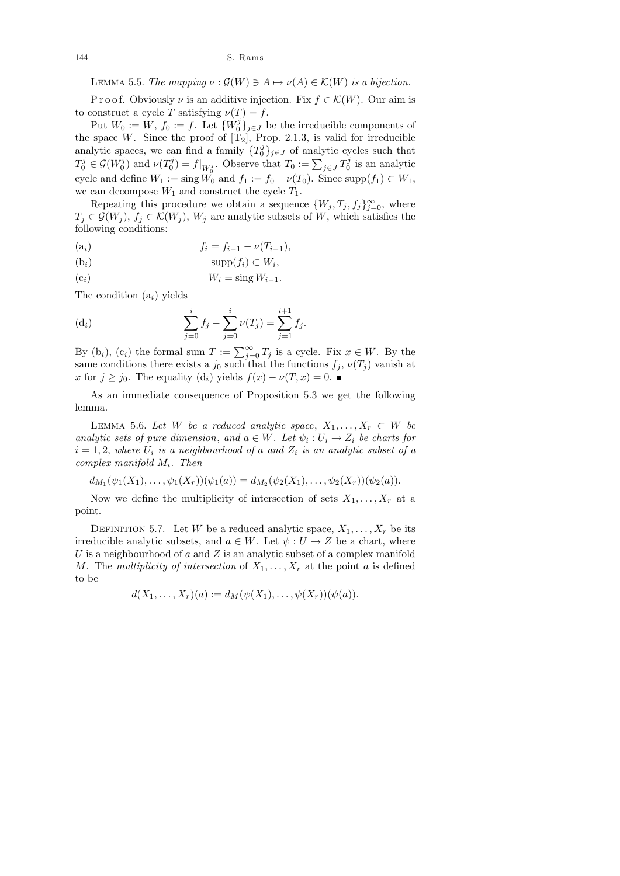LEMMA 5.5. The mapping  $\nu : \mathcal{G}(W) \ni A \mapsto \nu(A) \in \mathcal{K}(W)$  is a bijection.

P r o o f. Obviously  $\nu$  is an additive injection. Fix  $f \in \mathcal{K}(W)$ . Our aim is to construct a cycle T satisfying  $\nu(T) = f$ .

Put  $W_0 := W, f_0 := f$ . Let  $\{W_0^j\}$  $\{0\}_{j\in J}$  be the irreducible components of the space W. Since the proof of  $[T_2]$ , Prop. 2.1.3, is valid for irreducible analytic spaces, we can find a family  $\{T_0^j\}$  $\{0\}_{j\in J}$  of analytic cycles such that  $T^j_0 \in \mathcal{G}(W^j_0$  $\mathcal{O}_0^{j}$ ) and  $\nu(T_0^j)$  $\mathcal{O}(0^j) = f|_{W_0^j}$ . Observe that  $T_0 := \sum_{j \in J} T_0^j$  $\frac{d}{d}$  is an analytic cycle and define  $W_1 := \text{sing } W_0$  and  $f_1 := f_0 - \nu(T_0)$ . Since  $\text{supp}(f_1) \subset W_1$ , we can decompose  $W_1$  and construct the cycle  $T_1$ .

Repeating this procedure we obtain a sequence  $\{W_j, T_j, f_j\}_{j=0}^{\infty}$ , where  $T_j \in \mathcal{G}(W_j)$ ,  $f_j \in \mathcal{K}(W_j)$ ,  $W_j$  are analytic subsets of W, which satisfies the following conditions:

$$
(a_i) \t\t f_i = f_{i-1} - \nu(T_{i-1}),
$$

$$
(b_i) \t\t supp(f_i) \subset W_i,
$$

$$
(c_i) \t\t W_i = \sin g W_{i-1}.
$$

The condition  $(a_i)$  yields

(d<sub>i</sub>) 
$$
\sum_{j=0}^{i} f_j - \sum_{j=0}^{i} \nu(T_j) = \sum_{j=1}^{i+1} f_j.
$$

By  $(b_i)$ ,  $(c_i)$  the formal sum  $T := \sum_{j=0}^{\infty} T_j$  is a cycle. Fix  $x \in W$ . By the same conditions there exists a  $j_0$  such that the functions  $f_j$ ,  $\nu(T_j)$  vanish at x for  $j \ge j_0$ . The equality  $(d_i)$  yields  $f(x) - \nu(T, x) = 0$ .

As an immediate consequence of Proposition 5.3 we get the following lemma.

LEMMA 5.6. Let W be a reduced analytic space,  $X_1, \ldots, X_r \subset W$  be analytic sets of pure dimension, and  $a \in W$ . Let  $\psi_i : U_i \to Z_i$  be charts for  $i = 1, 2$ , where  $U_i$  is a neighbourhood of a and  $Z_i$  is an analytic subset of a  $complex\ manifold\ M_i.\ Then$ 

$$
d_{M_1}(\psi_1(X_1),\ldots,\psi_1(X_r))(\psi_1(a))=d_{M_2}(\psi_2(X_1),\ldots,\psi_2(X_r))(\psi_2(a)).
$$

Now we define the multiplicity of intersection of sets  $X_1, \ldots, X_r$  at a point.

DEFINITION 5.7. Let W be a reduced analytic space,  $X_1, \ldots, X_r$  be its irreducible analytic subsets, and  $a \in W$ . Let  $\psi : U \to Z$  be a chart, where  $U$  is a neighbourhood of  $a$  and  $Z$  is an analytic subset of a complex manifold M. The multiplicity of intersection of  $X_1, \ldots, X_r$  at the point a is defined to be

$$
d(X_1, ..., X_r)(a) := d_M(\psi(X_1), ..., \psi(X_r))(\psi(a)).
$$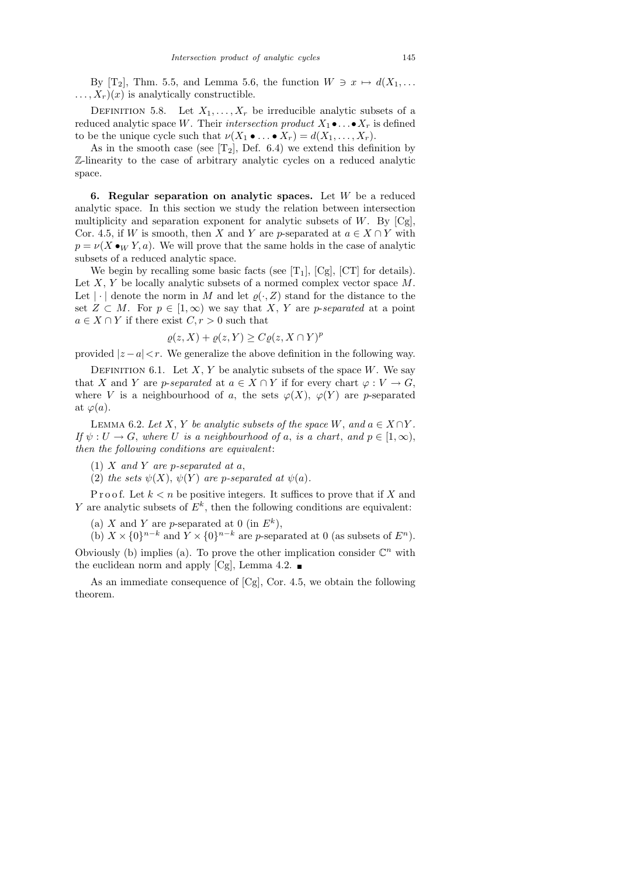By [T<sub>2</sub>], Thm. 5.5, and Lemma 5.6, the function  $W \ni x \mapsto d(X_1, \ldots)$  $\ldots, X_r)(x)$  is analytically constructible.

DEFINITION 5.8. Let  $X_1, \ldots, X_r$  be irreducible analytic subsets of a reduced analytic space W. Their intersection product  $X_1 \bullet \ldots \bullet X_r$  is defined to be the unique cycle such that  $\nu(X_1 \bullet \dots \bullet X_r) = d(X_1, \dots, X_r)$ .

As in the smooth case (see  $[T_2]$ , Def. 6.4) we extend this definition by Z-linearity to the case of arbitrary analytic cycles on a reduced analytic space.

6. Regular separation on analytic spaces. Let  $W$  be a reduced analytic space. In this section we study the relation between intersection multiplicity and separation exponent for analytic subsets of  $W$ . By  $[Cg]$ , Cor. 4.5, if W is smooth, then X and Y are p-separated at  $a \in X \cap Y$  with  $p = \nu(X \bullet_W Y, a)$ . We will prove that the same holds in the case of analytic subsets of a reduced analytic space.

We begin by recalling some basic facts (see  $[T_1]$ ,  $[Cg]$ ,  $[CT]$  for details). Let  $X, Y$  be locally analytic subsets of a normed complex vector space  $M$ . Let  $|\cdot|$  denote the norm in M and let  $\varrho(\cdot, Z)$  stand for the distance to the set  $Z \subset M$ . For  $p \in [1,\infty)$  we say that X, Y are p-separated at a point  $a \in X \cap Y$  if there exist  $C, r > 0$  such that

$$
\varrho(z, X) + \varrho(z, Y) \ge C\varrho(z, X \cap Y)^p
$$

provided  $|z-a| < r$ . We generalize the above definition in the following way.

DEFINITION 6.1. Let X, Y be analytic subsets of the space W. We say that X and Y are p-separated at  $a \in X \cap Y$  if for every chart  $\varphi : V \to G$ , where V is a neighbourhood of a, the sets  $\varphi(X)$ ,  $\varphi(Y)$  are p-separated at  $\varphi(a)$ .

LEMMA 6.2. Let X, Y be analytic subsets of the space W, and  $a \in X \cap Y$ . If  $\psi : U \to G$ , where U is a neighbourhood of a, is a chart, and  $p \in [1,\infty)$ , then the following conditions are equivalent:

- (1)  $X$  and  $Y$  are p-separated at  $a$ ,
- (2) the sets  $\psi(X)$ ,  $\psi(Y)$  are p-separated at  $\psi(a)$ .

P r o o f. Let  $k < n$  be positive integers. It suffices to prove that if X and Y are analytic subsets of  $E^k$ , then the following conditions are equivalent:

(a) X and Y are p-separated at 0 (in  $E^k$ ),

(b)  $X \times \{0\}^{n-k}$  and  $Y \times \{0\}^{n-k}$  are p-separated at 0 (as subsets of  $E^n$ ). Obviously (b) implies (a). To prove the other implication consider  $\mathbb{C}^n$  with the euclidean norm and apply [Cg], Lemma 4.2.  $\blacksquare$ 

As an immediate consequence of [Cg], Cor. 4.5, we obtain the following theorem.